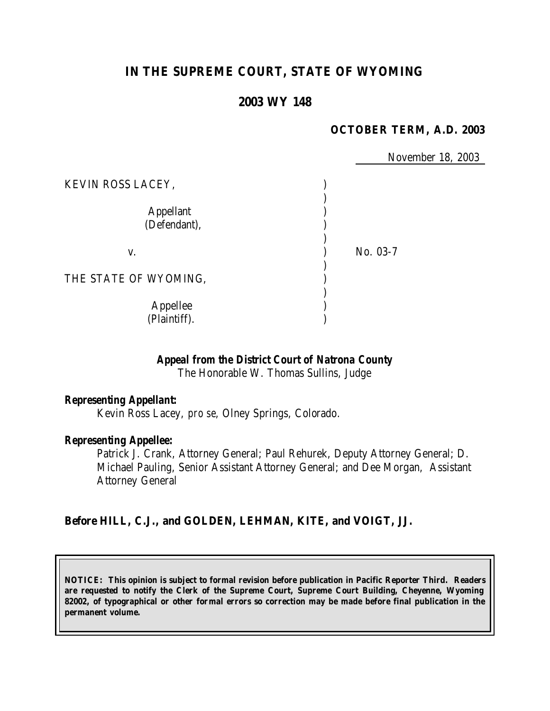# **IN THE SUPREME COURT, STATE OF WYOMING**

## **2003 WY 148**

### **OCTOBER TERM, A.D. 2003**

November 18, 2003

| KEVIN ROSS LACEY,                |          |
|----------------------------------|----------|
| <b>Appellant</b><br>(Defendant), |          |
| V.                               | No. 03-7 |
| THE STATE OF WYOMING,            |          |
| Appellee<br>(Plaintiff).         |          |

## *Appeal from the District Court of Natrona County*

The Honorable W. Thomas Sullins, Judge

#### *Representing Appellant:*

Kevin Ross Lacey, *pro se*, Olney Springs, Colorado.

#### *Representing Appellee:*

Patrick J. Crank, Attorney General; Paul Rehurek, Deputy Attorney General; D. Michael Pauling, Senior Assistant Attorney General; and Dee Morgan, Assistant Attorney General

### **Before HILL, C.J., and GOLDEN, LEHMAN, KITE, and VOIGT, JJ.**

**NOTICE: This opinion is subject to formal revision before publication in Pacific Reporter Third. Readers are requested to notify the Clerk of the Supreme Court, Supreme Court Building, Cheyenne, Wyoming 82002, of typographical or other formal errors so correction may be made before final publication in the permanent volume.**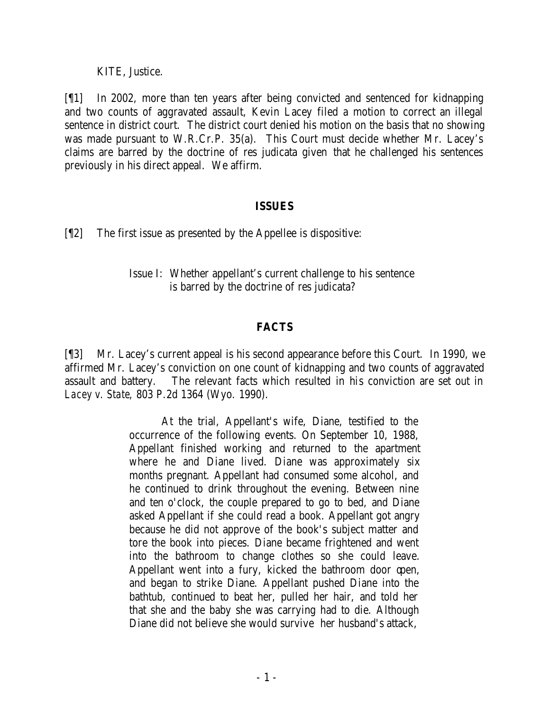KITE, Justice.

[¶1] In 2002, more than ten years after being convicted and sentenced for kidnapping and two counts of aggravated assault, Kevin Lacey filed a motion to correct an illegal sentence in district court. The district court denied his motion on the basis that no showing was made pursuant to W.R.Cr.P. 35(a). This Court must decide whether Mr. Lacey's claims are barred by the doctrine of res judicata given that he challenged his sentences previously in his direct appeal. We affirm.

#### **ISSUES**

[¶2] The first issue as presented by the Appellee is dispositive:

## Issue I: Whether appellant's current challenge to his sentence is barred by the doctrine of res judicata?

### **FACTS**

[¶3] Mr. Lacey's current appeal is his second appearance before this Court. In 1990, we affirmed Mr. Lacey's conviction on one count of kidnapping and two counts of aggravated assault and battery. The relevant facts which resulted in his conviction are set out in *Lacey v. State*, 803 P.2d 1364 (Wyo. 1990).

> At the trial, Appellant's wife, Diane, testified to the occurrence of the following events. On September 10, 1988, Appellant finished working and returned to the apartment where he and Diane lived. Diane was approximately six months pregnant. Appellant had consumed some alcohol, and he continued to drink throughout the evening. Between nine and ten o'clock, the couple prepared to go to bed, and Diane asked Appellant if she could read a book. Appellant got angry because he did not approve of the book's subject matter and tore the book into pieces. Diane became frightened and went into the bathroom to change clothes so she could leave. Appellant went into a fury, kicked the bathroom door open, and began to strike Diane. Appellant pushed Diane into the bathtub, continued to beat her, pulled her hair, and told her that she and the baby she was carrying had to die. Although Diane did not believe she would survive her husband's attack,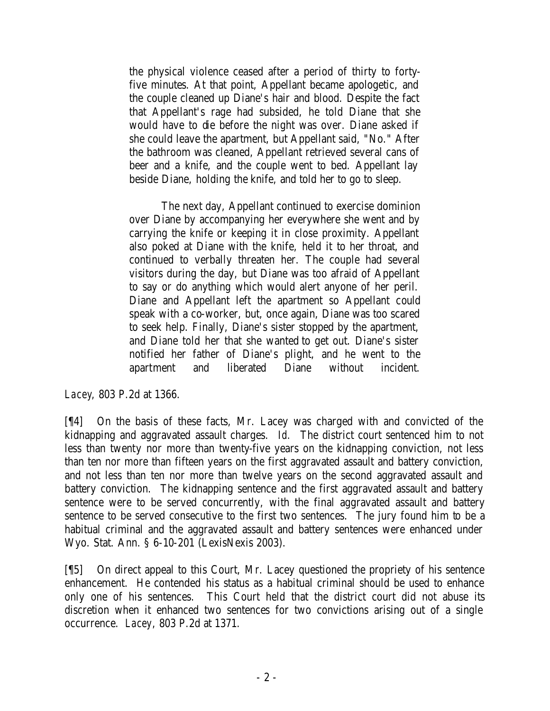the physical violence ceased after a period of thirty to fortyfive minutes. At that point, Appellant became apologetic, and the couple cleaned up Diane's hair and blood. Despite the fact that Appellant's rage had subsided, he told Diane that she would have to die before the night was over. Diane asked if she could leave the apartment, but Appellant said, "No." After the bathroom was cleaned, Appellant retrieved several cans of beer and a knife, and the couple went to bed. Appellant lay beside Diane, holding the knife, and told her to go to sleep.

The next day, Appellant continued to exercise dominion over Diane by accompanying her everywhere she went and by carrying the knife or keeping it in close proximity. Appellant also poked at Diane with the knife, held it to her throat, and continued to verbally threaten her. The couple had several visitors during the day, but Diane was too afraid of Appellant to say or do anything which would alert anyone of her peril. Diane and Appellant left the apartment so Appellant could speak with a co-worker, but, once again, Diane was too scared to seek help. Finally, Diane's sister stopped by the apartment, and Diane told her that she wanted to get out. Diane's sister notified her father of Diane's plight, and he went to the apartment and liberated Diane without incident.

*Lacey*, 803 P.2d at 1366.

[¶4] On the basis of these facts, Mr. Lacey was charged with and convicted of the kidnapping and aggravated assault charges. *Id.* The district court sentenced him to not less than twenty nor more than twenty-five years on the kidnapping conviction, not less than ten nor more than fifteen years on the first aggravated assault and battery conviction, and not less than ten nor more than twelve years on the second aggravated assault and battery conviction. The kidnapping sentence and the first aggravated assault and battery sentence were to be served concurrently, with the final aggravated assault and battery sentence to be served consecutive to the first two sentences. The jury found him to be a habitual criminal and the aggravated assault and battery sentences were enhanced under Wyo. Stat. Ann. § 6-10-201 (LexisNexis 2003).

[¶5] On direct appeal to this Court, Mr. Lacey questioned the propriety of his sentence enhancement. He contended his status as a habitual criminal should be used to enhance only one of his sentences. This Court held that the district court did not abuse its discretion when it enhanced two sentences for two convictions arising out of a single occurrence. *Lacey*, 803 P.2d at 1371.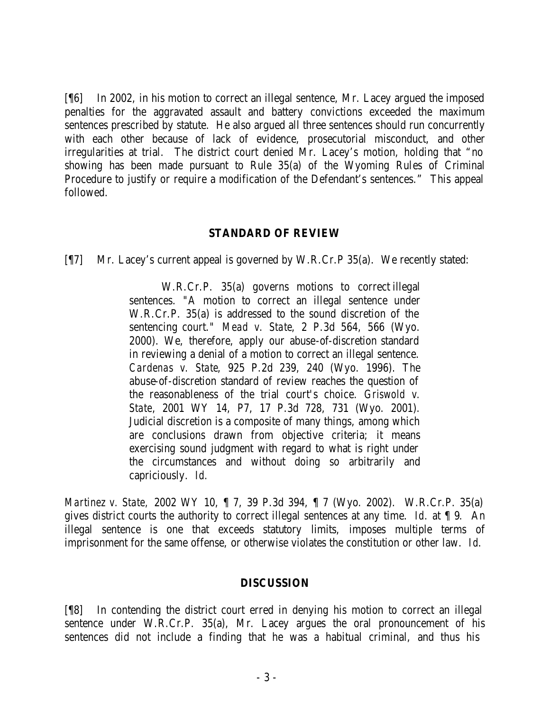[¶6] In 2002, in his motion to correct an illegal sentence, Mr. Lacey argued the imposed penalties for the aggravated assault and battery convictions exceeded the maximum sentences prescribed by statute. He also argued all three sentences should run concurrently with each other because of lack of evidence, prosecutorial misconduct, and other irregularities at trial. The district court denied Mr. Lacey's motion, holding that "no showing has been made pursuant to Rule 35(a) of the Wyoming Rules of Criminal Procedure to justify or require a modification of the Defendant's sentences." This appeal followed.

### **STANDARD OF REVIEW**

[¶7] Mr. Lacey's current appeal is governed by W.R.Cr.P 35(a). We recently stated:

W.R.Cr.P. 35(a) governs motions to correct illegal sentences. "A motion to correct an illegal sentence under W.R.Cr.P. 35(a) is addressed to the sound discretion of the sentencing court." *Mead v. State*, 2 P.3d 564, 566 (Wyo. 2000). We, therefore, apply our abuse-of-discretion standard in reviewing a denial of a motion to correct an illegal sentence. *Cardenas v. State*, 925 P.2d 239, 240 (Wyo. 1996). The abuse-of-discretion standard of review reaches the question of the reasonableness of the trial court's choice. *Griswold v. State*, 2001 WY 14, P7, 17 P.3d 728, 731 (Wyo. 2001). Judicial discretion is a composite of many things, among which are conclusions drawn from objective criteria; it means exercising sound judgment with regard to what is right under the circumstances and without doing so arbitrarily and capriciously. *Id.*

*Martinez v. State,* 2002 WY 10, ¶ 7, 39 P.3d 394, ¶ 7 (Wyo. 2002). W.R.Cr.P. 35(a) gives district courts the authority to correct illegal sentences at any time. *Id.* at ¶ 9*.* An illegal sentence is one that exceeds statutory limits, imposes multiple terms of imprisonment for the same offense, or otherwise violates the constitution or other law. *Id*.

### **DISCUSSION**

[¶8] In contending the district court erred in denying his motion to correct an illegal sentence under W.R.Cr.P. 35(a), Mr. Lacey argues the oral pronouncement of his sentences did not include a finding that he was a habitual criminal, and thus his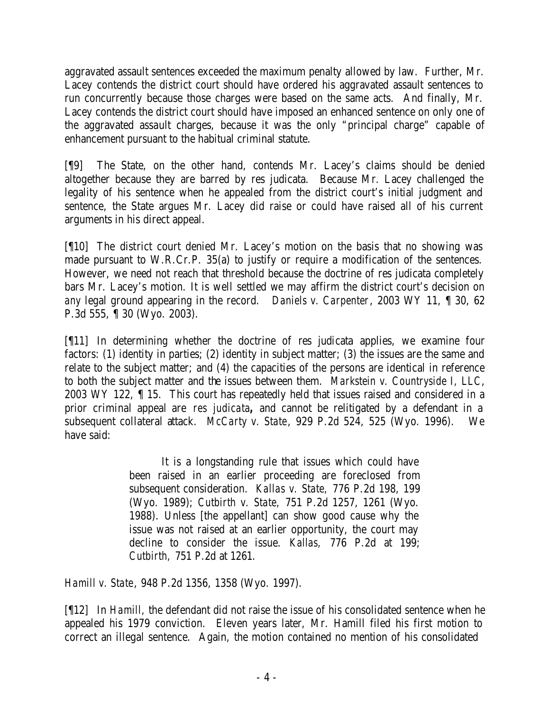aggravated assault sentences exceeded the maximum penalty allowed by law. Further, Mr. Lacey contends the district court should have ordered his aggravated assault sentences to run concurrently because those charges were based on the same acts. And finally, Mr. Lacey contends the district court should have imposed an enhanced sentence on only one of the aggravated assault charges, because it was the only "principal charge" capable of enhancement pursuant to the habitual criminal statute.

[¶9] The State, on the other hand, contends Mr. Lacey's claims should be denied altogether because they are barred by res judicata. Because Mr. Lacey challenged the legality of his sentence when he appealed from the district court's initial judgment and sentence, the State argues Mr. Lacey did raise or could have raised all of his current arguments in his direct appeal.

[¶10] The district court denied Mr. Lacey's motion on the basis that no showing was made pursuant to W.R.Cr.P. 35(a) to justify or require a modification of the sentences. However, we need not reach that threshold because the doctrine of res judicata completely bars Mr. Lacey's motion. It is well settled we may affirm the district court's decision on *any* legal ground appearing in the record. *Daniels v. Carpenter*, 2003 WY 11, ¶ 30, 62 P.3d 555, ¶ 30 (Wyo. 2003).

[¶11] In determining whether the doctrine of res judicata applies, we examine four factors: (1) identity in parties; (2) identity in subject matter; (3) the issues are the same and relate to the subject matter; and (4) the capacities of the persons are identical in reference to both the subject matter and the issues between them. *Markstein v. Countryside I, LLC*, 2003 WY 122, ¶ 15. This court has repeatedly held that issues raised and considered in a prior criminal appeal are *res judicata,* and cannot be relitigated by a defendant in a subsequent collateral attack. *McCarty v. State*, 929 P.2d 524, 525 (Wyo. 1996). We have said:

> It is a longstanding rule that issues which could have been raised in an earlier proceeding are foreclosed from subsequent consideration. *Kallas v. State,* 776 P.2d 198, 199 (Wyo. 1989); *Cutbirth v. State,* 751 P.2d 1257, 1261 (Wyo. 1988). Unless [the appellant] can show good cause why the issue was not raised at an earlier opportunity, the court may decline to consider the issue. *Kallas,* 776 P.2d at 199; *Cutbirth,* 751 P.2d at 1261.

*Hamill v. State*, 948 P.2d 1356, 1358 (Wyo. 1997).

[¶12] In *Hamill,* the defendant did not raise the issue of his consolidated sentence when he appealed his 1979 conviction. Eleven years later, Mr. Hamill filed his first motion to correct an illegal sentence. Again, the motion contained no mention of his consolidated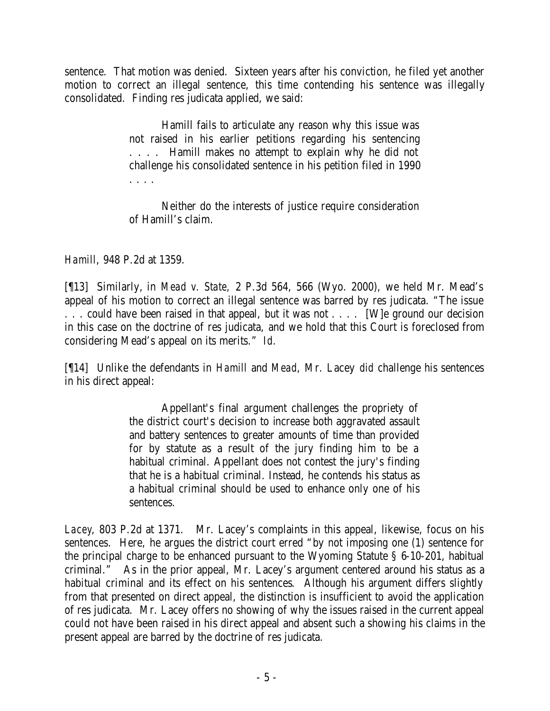sentence. That motion was denied. Sixteen years after his conviction, he filed yet another motion to correct an illegal sentence, this time contending his sentence was illegally consolidated. Finding res judicata applied, we said:

> Hamill fails to articulate any reason why this issue was not raised in his earlier petitions regarding his sentencing . . . . Hamill makes no attempt to explain why he did not challenge his consolidated sentence in his petition filed in 1990 . . . .

> Neither do the interests of justice require consideration of Hamill's claim.

*Hamill*, 948 P.2d at 1359.

[¶13] Similarly, in *Mead v. State,* 2 P.3d 564, 566 (Wyo. 2000), we held Mr. Mead's appeal of his motion to correct an illegal sentence was barred by res judicata. "The issue ... could have been raised in that appeal, but it was not .... [W] e ground our decision in this case on the doctrine of res judicata, and we hold that this Court is foreclosed from considering Mead's appeal on its merits." *Id.* 

[¶14] Unlike the defendants in *Hamill* and *Mead*, Mr. Lacey *did* challenge his sentences in his direct appeal:

> Appellant's final argument challenges the propriety of the district court's decision to increase both aggravated assault and battery sentences to greater amounts of time than provided for by statute as a result of the jury finding him to be a habitual criminal. Appellant does not contest the jury's finding that he is a habitual criminal. Instead, he contends his status as a habitual criminal should be used to enhance only one of his sentences.

*Lacey*, 803 P.2d at 1371. Mr. Lacey's complaints in this appeal, likewise, focus on his sentences. Here, he argues the district court erred "by not imposing one (1) sentence for the principal charge to be enhanced pursuant to the Wyoming Statute § 6-10-201, habitual criminal." As in the prior appeal, Mr. Lacey's argument centered around his status as a habitual criminal and its effect on his sentences. Although his argument differs slightly from that presented on direct appeal, the distinction is insufficient to avoid the application of res judicata. Mr. Lacey offers no showing of why the issues raised in the current appeal could not have been raised in his direct appeal and absent such a showing his claims in the present appeal are barred by the doctrine of res judicata.